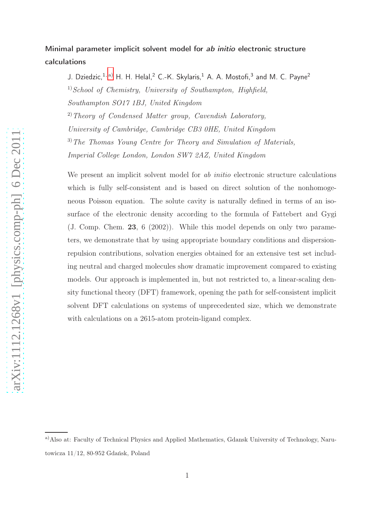## Minimal parameter implicit solvent model for ab initio electronic structure calculations

J. Dziedzic,  $1, a)$  $1, a)$  H. H. Helal,  $2$  C.-K. Skylaris,  $1$  A. A. Mostofi,  $3$  and M. C. Payne  $2$  $1) School of Chemistry, University of Southampton, High field,$ Southampton SO17 1BJ, United Kingdom

 $^{2)}$  Theory of Condensed Matter group, Cavendish Laboratory, University of Cambridge, Cambridge CB3 0HE, United Kingdom 3)The Thomas Young Centre for Theory and Simulation of Materials,

Imperial College London, London SW7 2AZ, United Kingdom

We present an implicit solvent model for *ab initio* electronic structure calculations which is fully self-consistent and is based on direct solution of the nonhomogeneous Poisson equation. The solute cavity is naturally defined in terms of an isosurface of the electronic density according to the formula of Fattebert and Gygi (J. Comp. Chem. 23, 6 (2002)). While this model depends on only two parameters, we demonstrate that by using appropriate boundary conditions and dispersionrepulsion contributions, solvation energies obtained for an extensive test set including neutral and charged molecules show dramatic improvement compared to existing models. Our approach is implemented in, but not restricted to, a linear-scaling density functional theory (DFT) framework, opening the path for self-consistent implicit solvent DFT calculations on systems of unprecedented size, which we demonstrate with calculations on a 2615-atom protein-ligand complex.

<span id="page-0-0"></span>a)Also at: Faculty of Technical Physics and Applied Mathematics, Gdansk University of Technology, Narutowicza 11/12, 80-952 Gdańsk, Poland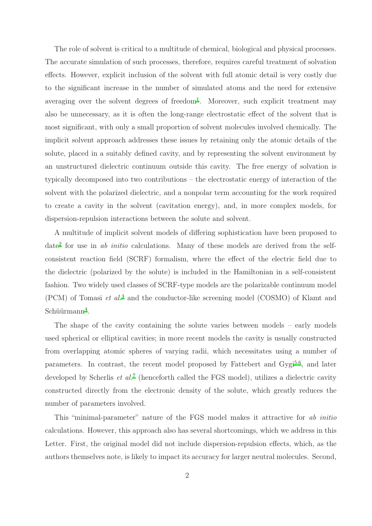The role of solvent is critical to a multitude of chemical, biological and physical processes. The accurate simulation of such processes, therefore, requires careful treatment of solvation effects. However, explicit inclusion of the solvent with full atomic detail is very costly due to the significant increase in the number of simulated atoms and the need for extensive averaging over the solvent degrees of freedom<sup>[1](#page-11-0)</sup>. Moreover, such explicit treatment may also be unnecessary, as it is often the long-range electrostatic effect of the solvent that is most significant, with only a small proportion of solvent molecules involved chemically. The implicit solvent approach addresses these issues by retaining only the atomic details of the solute, placed in a suitably defined cavity, and by representing the solvent environment by an unstructured dielectric continuum outside this cavity. The free energy of solvation is typically decomposed into two contributions – the electrostatic energy of interaction of the solvent with the polarized dielectric, and a nonpolar term accounting for the work required to create a cavity in the solvent (cavitation energy), and, in more complex models, for dispersion-repulsion interactions between the solute and solvent.

A multitude of implicit solvent models of differing sophistication have been proposed to date<sup>[2](#page-11-1)</sup> for use in ab *initio* calculations. Many of these models are derived from the selfconsistent reaction field (SCRF) formalism, where the effect of the electric field due to the dielectric (polarized by the solute) is included in the Hamiltonian in a self-consistent fashion. Two widely used classes of SCRF-type models are the polarizable continuum model (PCM) of Tomasi et al.<sup>[3](#page-11-2)</sup> and the conductor-like screening model (COSMO) of Klamt and  $Schüürmann<sup>4</sup>$  $Schüürmann<sup>4</sup>$  $Schüürmann<sup>4</sup>$ .

The shape of the cavity containing the solute varies between models – early models used spherical or elliptical cavities; in more recent models the cavity is usually constructed from overlapping atomic spheres of varying radii, which necessitates using a number of parameters. In contrast, the recent model proposed by Fattebert and Gygi<sup>[5](#page-11-4)[,6](#page-11-5)</sup>, and later developed by Scherlis *et al.*<sup>[7](#page-11-6)</sup> (henceforth called the FGS model), utilizes a dielectric cavity constructed directly from the electronic density of the solute, which greatly reduces the number of parameters involved.

This "minimal-parameter" nature of the FGS model makes it attractive for ab initio calculations. However, this approach also has several shortcomings, which we address in this Letter. First, the original model did not include dispersion-repulsion effects, which, as the authors themselves note, is likely to impact its accuracy for larger neutral molecules. Second,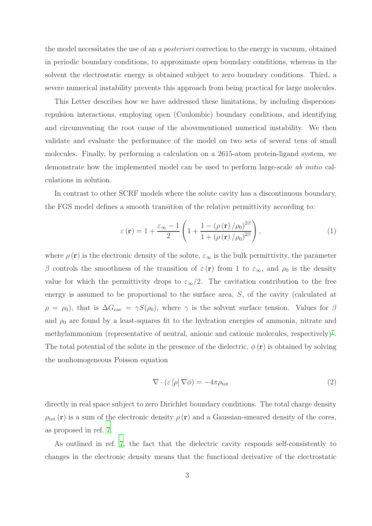the model necessitates the use of an a posteriori correction to the energy in vacuum, obtained in periodic boundary conditions, to approximate open boundary conditions, whereas in the solvent the electrostatic energy is obtained subject to zero boundary conditions. Third, a severe numerical instability prevents this approach from being practical for large molecules.

This Letter describes how we have addressed these limitations, by including dispersionrepulsion interactions, employing open (Coulombic) boundary conditions, and identifying and circumventing the root cause of the abovementioned numerical instability. We then validate and evaluate the performance of the model on two sets of several tens of small molecules. Finally, by performing a calculation on a 2615-atom protein-ligand system, we demonstrate how the implemented model can be used to perform large-scale ab initio calculations in solution.

In contrast to other SCRF models where the solute cavity has a discontinuous boundary, the FGS model defines a smooth transition of the relative permittivity according to:

<span id="page-2-1"></span>
$$
\varepsilon(\mathbf{r}) = 1 + \frac{\varepsilon_{\infty} - 1}{2} \left( 1 + \frac{1 - (\rho(\mathbf{r})/\rho_0)^{2\beta}}{1 + (\rho(\mathbf{r})/\rho_0)^{2\beta}} \right),\tag{1}
$$

where  $\rho(\mathbf{r})$  is the electronic density of the solute,  $\varepsilon_{\infty}$  is the bulk permittivity, the parameter β controls the smoothness of the transition of  $\varepsilon(\mathbf{r})$  from 1 to  $\varepsilon_{\infty}$ , and  $\rho_0$  is the density value for which the permittivity drops to  $\varepsilon_{\infty}/2$ . The cavitation contribution to the free energy is assumed to be proportional to the surface area, S, of the cavity (calculated at  $\rho = \rho_0$ , that is  $\Delta G_{\text{cav}} = \gamma S(\rho_0)$ , where  $\gamma$  is the solvent surface tension. Values for  $\beta$ and  $\rho_0$  are found by a least-squares fit to the hydration energies of ammonia, nitrate and methylammonium (representative of neutral, anionic and cationic molecules, respectively)<sup>[7](#page-11-6)</sup>. The total potential of the solute in the presence of the dielectric,  $\phi(\mathbf{r})$  is obtained by solving the nonhomogeneous Poisson equation

<span id="page-2-0"></span>
$$
\nabla \cdot (\varepsilon \left[ \rho \right] \nabla \phi) = -4\pi \rho_{\text{tot}} \tag{2}
$$

directly in real space subject to zero Dirichlet boundary conditions. The total charge density  $\rho_{\text{tot}}(\mathbf{r})$  is a sum of the electronic density  $\rho(\mathbf{r})$  and a Gaussian-smeared density of the cores, as proposed in ref. [7](#page-11-6).

As outlined in ref. [7](#page-11-6), the fact that the dielectric cavity responds self-consistently to changes in the electronic density means that the functional derivative of the electrostatic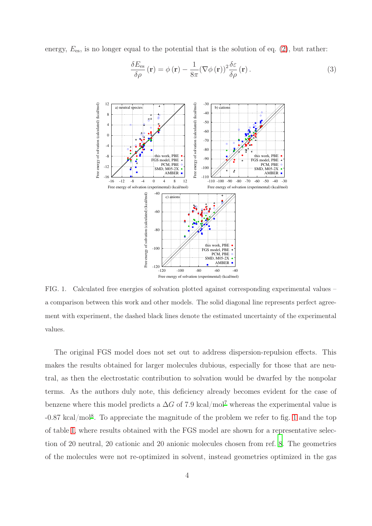energy,  $E_{\text{es}}$ , is no longer equal to the potential that is the solution of eq. [\(2\)](#page-2-0), but rather:

<span id="page-3-1"></span>
$$
\frac{\delta E_{\rm es}}{\delta \rho}(\mathbf{r}) = \phi(\mathbf{r}) - \frac{1}{8\pi} (\nabla \phi(\mathbf{r}))^2 \frac{\delta \varepsilon}{\delta \rho}(\mathbf{r}).
$$
\n(3)



<span id="page-3-0"></span>FIG. 1. Calculated free energies of solvation plotted against corresponding experimental values – a comparison between this work and other models. The solid diagonal line represents perfect agreement with experiment, the dashed black lines denote the estimated uncertainty of the experimental values.

The original FGS model does not set out to address dispersion-repulsion effects. This makes the results obtained for larger molecules dubious, especially for those that are neutral, as then the electrostatic contribution to solvation would be dwarfed by the nonpolar terms. As the authors duly note, this deficiency already becomes evident for the case of benzene where this model predicts a  $\Delta G$  of [7](#page-11-6).9 kcal/mol<sup>7</sup> whereas the experimental value is -0.87 kcal/mol[8](#page-11-7) . To appreciate the magnitude of the problem we refer to fig. [1](#page-3-0) and the top of table [I,](#page-5-0) where results obtained with the FGS model are shown for a representative selection of 20 neutral, 20 cationic and 20 anionic molecules chosen from ref. [8](#page-11-7). The geometries of the molecules were not re-optimized in solvent, instead geometries optimized in the gas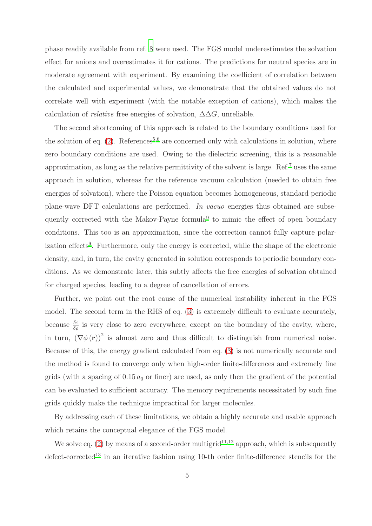phase readily available from ref. [8](#page-11-7) were used. The FGS model underestimates the solvation effect for anions and overestimates it for cations. The predictions for neutral species are in moderate agreement with experiment. By examining the coefficient of correlation between the calculated and experimental values, we demonstrate that the obtained values do not correlate well with experiment (with the notable exception of cations), which makes the calculation of *relative* free energies of solvation,  $\Delta \Delta G$ , unreliable.

The second shortcoming of this approach is related to the boundary conditions used for the solution of eq.  $(2)$ . References<sup>[5](#page-11-4)[,6](#page-11-5)</sup> are concerned only with calculations in solution, where zero boundary conditions are used. Owing to the dielectric screening, this is a reasonable approximation, as long as the relative permittivity of the solvent is large. Ref.[7](#page-11-6) uses the same approach in solution, whereas for the reference vacuum calculation (needed to obtain free energies of solvation), where the Poisson equation becomes homogeneous, standard periodic plane-wave DFT calculations are performed. In vacuo energies thus obtained are subse-quently corrected with the Makov-Payne formula<sup>[9](#page-11-8)</sup> to mimic the effect of open boundary conditions. This too is an approximation, since the correction cannot fully capture polar-ization effects<sup>[9](#page-11-8)</sup>. Furthermore, only the energy is corrected, while the shape of the electronic density, and, in turn, the cavity generated in solution corresponds to periodic boundary conditions. As we demonstrate later, this subtly affects the free energies of solvation obtained for charged species, leading to a degree of cancellation of errors.

Further, we point out the root cause of the numerical instability inherent in the FGS model. The second term in the RHS of eq. [\(3\)](#page-3-1) is extremely difficult to evaluate accurately, because  $\frac{\delta \varepsilon}{\delta \rho}$  is very close to zero everywhere, except on the boundary of the cavity, where, in turn,  $(\nabla \phi(\mathbf{r}))^2$  is almost zero and thus difficult to distinguish from numerical noise. Because of this, the energy gradient calculated from eq. [\(3\)](#page-3-1) is not numerically accurate and the method is found to converge only when high-order finite-differences and extremely fine grids (with a spacing of  $0.15 a_0$  or finer) are used, as only then the gradient of the potential can be evaluated to sufficient accuracy. The memory requirements necessitated by such fine grids quickly make the technique impractical for larger molecules.

By addressing each of these limitations, we obtain a highly accurate and usable approach which retains the conceptual elegance of the FGS model.

We solve eq.  $(2)$  by means of a second-order multigrid<sup>[11](#page-12-0)[,12](#page-12-1)</sup> approach, which is subsequently  $\rm defect-corrected^{13}$  $\rm defect-corrected^{13}$  $\rm defect-corrected^{13}$  in an iterative fashion using 10-th order finite-difference stencils for the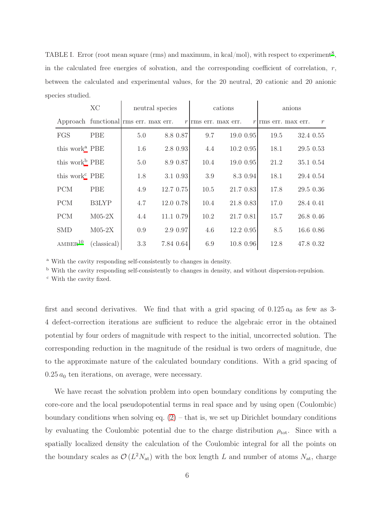<span id="page-5-0"></span>TABLE I. Error (root mean square (rms) and maximum, in kcal/mol), with respect to experiment<sup>[8](#page-11-7)</sup>, in the calculated free energies of solvation, and the corresponding coefficient of correlation,  $r$ , between the calculated and experimental values, for the 20 neutral, 20 cationic and 20 anionic species studied.

|                            | <b>XC</b>                            | neutral species |  | cations   |      |                       | anions      |      |                            |               |
|----------------------------|--------------------------------------|-----------------|--|-----------|------|-----------------------|-------------|------|----------------------------|---------------|
|                            | Approach functional ms err. max err. |                 |  |           |      | $r$ rms err. max err. |             |      | $r$ m $\sin$ m $\sin$ err. | $\mathcal{r}$ |
| FGS                        | <b>PBE</b>                           | 5.0             |  | 8.8 0.87  | 9.7  |                       | 19.0 0.95   | 19.5 |                            | 32.4 0.55     |
| this work <sup>a</sup> PBE |                                      | 1.6             |  | 2.8 0.93  | 4.4  |                       | $10.2$ 0.95 | 18.1 |                            | 29.5 0.53     |
| this work <sup>b</sup> PBE |                                      | 5.0             |  | 8.9 0.87  | 10.4 |                       | 19.0 0.95   | 21.2 |                            | 35.1 0.54     |
| this work <sup>c</sup> PBE |                                      | 1.8             |  | 3.1 0.93  | 3.9  |                       | 8.3 0.94    | 18.1 |                            | 29.4 0.54     |
| <b>PCM</b>                 | PBE                                  | 4.9             |  | 12.7 0.75 | 10.5 |                       | 21.7 0.83   | 17.8 |                            | 29.5 0.36     |
| <b>PCM</b>                 | <b>B3LYP</b>                         | 4.7             |  | 12.0 0.78 | 10.4 |                       | 21.8 0.83   | 17.0 | 28.4 0.41                  |               |
| <b>PCM</b>                 | $M05-2X$                             | 4.4             |  | 11.1 0.79 | 10.2 |                       | 21.7 0.81   | 15.7 |                            | 26.8 0.46     |
| <b>SMD</b>                 | $M05-2X$                             | 0.9             |  | 2.9 0.97  | 4.6  |                       | 12.2 0.95   | 8.5  |                            | 16.6 0.86     |
| AMBER <sup>10</sup>        | (classical)                          | 3.3             |  | 7.84 0.64 | 6.9  |                       | 10.8 0.96   | 12.8 |                            | 47.8 0.32     |

<sup>a</sup> With the cavity responding self-consistently to changes in density.

<span id="page-5-1"></span><sup>b</sup> With the cavity responding self-consistently to changes in density, and without dispersion-repulsion.

<span id="page-5-3"></span><span id="page-5-2"></span><sup>c</sup> With the cavity fixed.

first and second derivatives. We find that with a grid spacing of  $0.125 a_0$  as few as 3-4 defect-correction iterations are sufficient to reduce the algebraic error in the obtained potential by four orders of magnitude with respect to the initial, uncorrected solution. The corresponding reduction in the magnitude of the residual is two orders of magnitude, due to the approximate nature of the calculated boundary conditions. With a grid spacing of  $0.25 a_0$  ten iterations, on average, were necessary.

We have recast the solvation problem into open boundary conditions by computing the core-core and the local pseudopotential terms in real space and by using open (Coulombic) boundary conditions when solving eq.  $(2)$  – that is, we set up Dirichlet boundary conditions by evaluating the Coulombic potential due to the charge distribution  $\rho_{\text{tot}}$ . Since with a spatially localized density the calculation of the Coulombic integral for all the points on the boundary scales as  $\mathcal{O}(L^2 N_{\rm at})$  with the box length L and number of atoms  $N_{\rm at}$ , charge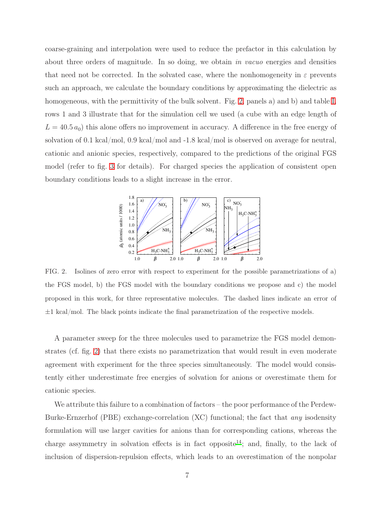coarse-graining and interpolation were used to reduce the prefactor in this calculation by about three orders of magnitude. In so doing, we obtain in vacuo energies and densities that need not be corrected. In the solvated case, where the nonhomogeneity in  $\varepsilon$  prevents such an approach, we calculate the boundary conditions by approximating the dielectric as homogeneous, with the permittivity of the bulk solvent. Fig. [2,](#page-6-0) panels a) and b) and table [I,](#page-5-0) rows 1 and 3 illustrate that for the simulation cell we used (a cube with an edge length of  $L = 40.5 a_0$ ) this alone offers no improvement in accuracy. A difference in the free energy of solvation of 0.1 kcal/mol, 0.9 kcal/mol and -1.8 kcal/mol is observed on average for neutral, cationic and anionic species, respectively, compared to the predictions of the original FGS model (refer to fig. [3](#page-7-0) for details). For charged species the application of consistent open boundary conditions leads to a slight increase in the error.



<span id="page-6-0"></span>FIG. 2. Isolines of zero error with respect to experiment for the possible parametrizations of a) the FGS model, b) the FGS model with the boundary conditions we propose and c) the model proposed in this work, for three representative molecules. The dashed lines indicate an error of  $\pm 1$  kcal/mol. The black points indicate the final parametrization of the respective models.

A parameter sweep for the three molecules used to parametrize the FGS model demonstrates (cf. fig. [2\)](#page-6-0) that there exists no parametrization that would result in even moderate agreement with experiment for the three species simultaneously. The model would consistently either underestimate free energies of solvation for anions or overestimate them for cationic species.

We attribute this failure to a combination of factors – the poor performance of the Perdew-Burke-Ernzerhof (PBE) exchange-correlation (XC) functional; the fact that any isodensity formulation will use larger cavities for anions than for corresponding cations, whereas the charge assymmetry in solvation effects is in fact opposite<sup>[14](#page-12-3)</sup>; and, finally, to the lack of inclusion of dispersion-repulsion effects, which leads to an overestimation of the nonpolar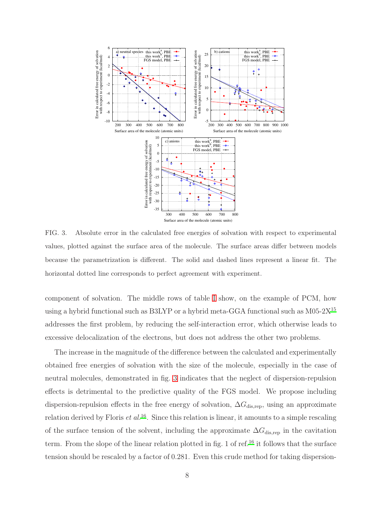

<span id="page-7-0"></span>FIG. 3. Absolute error in the calculated free energies of solvation with respect to experimental values, plotted against the surface area of the molecule. The surface areas differ between models because the parametrization is different. The solid and dashed lines represent a linear fit. The horizontal dotted line corresponds to perfect agreement with experiment.

component of solvation. The middle rows of table [I](#page-5-0) show, on the example of PCM, how using a hybrid functional such as B3LYP or a hybrid meta-GGA functional such as M05-2X[15](#page-12-4) addresses the first problem, by reducing the self-interaction error, which otherwise leads to excessive delocalization of the electrons, but does not address the other two problems.

The increase in the magnitude of the difference between the calculated and experimentally obtained free energies of solvation with the size of the molecule, especially in the case of neutral molecules, demonstrated in fig. [3](#page-7-0) indicates that the neglect of dispersion-repulsion effects is detrimental to the predictive quality of the FGS model. We propose including dispersion-repulsion effects in the free energy of solvation,  $\Delta G_{\text{dis,rep}}$ , using an approximate relation derived by Floris  $et al.^{16}$  $et al.^{16}$  $et al.^{16}$ . Since this relation is linear, it amounts to a simple rescaling of the surface tension of the solvent, including the approximate  $\Delta G_{\text{dis,rep}}$  in the cavitation term. From the slope of the linear relation plotted in fig. 1 of ref.<sup>[16](#page-12-5)</sup> it follows that the surface tension should be rescaled by a factor of 0.281. Even this crude method for taking dispersion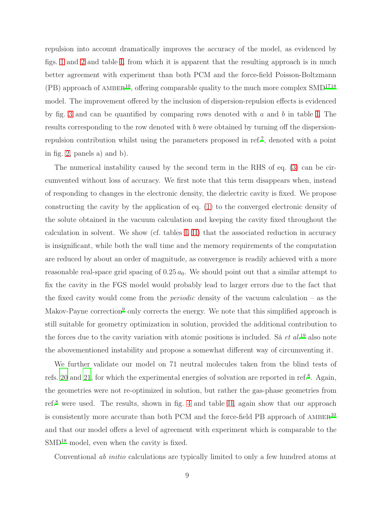repulsion into account dramatically improves the accuracy of the model, as evidenced by figs. [1](#page-3-0) and [2](#page-6-0) and table [I,](#page-5-0) from which it is apparent that the resulting approach is in much better agreement with experiment than both PCM and the force-field Poisson-Boltzmann  $(PB)$  approach of AMBER<sup>[10](#page-11-9)</sup>, offering comparable quality to the much more complex SMD<sup>[17](#page-12-6)[18](#page-12-7)</sup> model. The improvement offered by the inclusion of dispersion-repulsion effects is evidenced by fig. [3](#page-7-0) and can be quantified by comparing rows denoted with  $a$  and  $b$  in table [I.](#page-5-0) The results corresponding to the row denoted with b were obtained by turning off the dispersionrepulsion contribution whilst using the parameters proposed in ref.[7](#page-11-6) , denoted with a point in fig. [2,](#page-6-0) panels a) and b).

The numerical instability caused by the second term in the RHS of eq. [\(3\)](#page-3-1) can be circumvented without loss of accuracy. We first note that this term disappears when, instead of responding to changes in the electronic density, the dielectric cavity is fixed. We propose constructing the cavity by the application of eq. [\(1\)](#page-2-1) to the converged electronic density of the solute obtained in the vacuum calculation and keeping the cavity fixed throughout the calculation in solvent. We show (cf. tables [I,](#page-5-0) [II\)](#page-9-0) that the associated reduction in accuracy is insignificant, while both the wall time and the memory requirements of the computation are reduced by about an order of magnitude, as convergence is readily achieved with a more reasonable real-space grid spacing of  $0.25 a_0$ . We should point out that a similar attempt to fix the cavity in the FGS model would probably lead to larger errors due to the fact that the fixed cavity would come from the *periodic* density of the vacuum calculation – as the Makov-Payne correction<sup>[9](#page-11-8)</sup> only corrects the energy. We note that this simplified approach is still suitable for geometry optimization in solution, provided the additional contribution to the forces due to the cavity variation with atomic positions is included. Sá  $et al.<sup>19</sup>$  $et al.<sup>19</sup>$  $et al.<sup>19</sup>$  also note the abovementioned instability and propose a somewhat different way of circumventing it.

We further validate our model on 71 neutral molecules taken from the blind tests of refs. [20](#page-12-9) and [21,](#page-12-10) for which the experimental energies of solvation are reported in ref.<sup>[8](#page-11-7)</sup>. Again, the geometries were not re-optimized in solution, but rather the gas-phase geometries from ref.[8](#page-11-7) were used. The results, shown in fig. [4](#page-9-1) and table [II,](#page-9-0) again show that our approach is consistently more accurate than both PCM and the force-field PB approach of  $AMBER^{10}$  $AMBER^{10}$  $AMBER^{10}$ and that our model offers a level of agreement with experiment which is comparable to the  $SMD^{18}$  $SMD^{18}$  $SMD^{18}$  model, even when the cavity is fixed.

Conventional ab initio calculations are typically limited to only a few hundred atoms at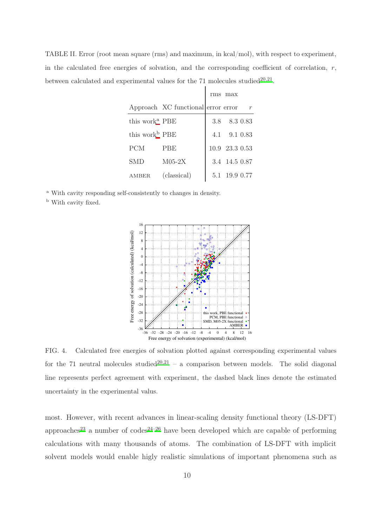<span id="page-9-0"></span>TABLE II. Error (root mean square (rms) and maximum, in kcal/mol), with respect to experiment, in the calculated free energies of solvation, and the corresponding coefficient of correlation,  $r$ , between calculated and experimental values for the  $71$  molecules studied<sup>[20](#page-12-9)[,21](#page-12-10)</sup>.

|                            |                                    | rms max                 |  |
|----------------------------|------------------------------------|-------------------------|--|
|                            | Approach XC functional error error |                         |  |
| this work <sup>a</sup> PBE |                                    | $3.8$ $8.3$ 0.83        |  |
| this work <sup>b</sup> PBE |                                    | 4.1 9.1 0.83            |  |
| <b>PCM</b>                 | <b>PBE</b>                         | $10.9\  \  23.3\  0.53$ |  |
| SMD                        | $M05-2X$                           | 3.4 14.5 0.87           |  |
| AMBER                      | (classical)                        | 5.1 19.9 0.77           |  |

<sup>a</sup> With cavity responding self-consistently to changes in density.

<span id="page-9-3"></span><span id="page-9-2"></span><sup>b</sup> With cavity fixed.



<span id="page-9-1"></span>FIG. 4. Calculated free energies of solvation plotted against corresponding experimental values for the 71 neutral molecules studied<sup>[20](#page-12-9)[,21](#page-12-10)</sup> – a comparison between models. The solid diagonal line represents perfect agreement with experiment, the dashed black lines denote the estimated uncertainty in the experimental valus.

most. However, with recent advances in linear-scaling density functional theory (LS-DFT) approaches<sup>[23](#page-12-11)</sup> a number of codes<sup>[24](#page-12-12)[–26](#page-12-13)</sup> have been developed which are capable of performing calculations with many thousands of atoms. The combination of LS-DFT with implicit solvent models would enable higly realistic simulations of important phenomena such as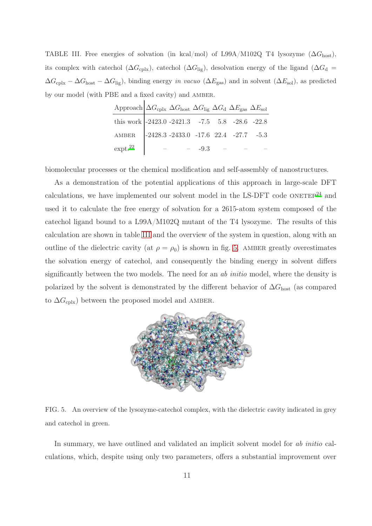<span id="page-10-0"></span>TABLE III. Free energies of solvation (in kcal/mol) of L99A/M102Q T4 lysozyme  $(\Delta G_{\text{host}})$ , its complex with catechol ( $\Delta G_{\rm cplx}$ ), catechol ( $\Delta G_{\rm lig}$ ), desolvation energy of the ligand ( $\Delta G_{\rm d}$  =  $\Delta G_{\rm cplx} - \Delta G_{\rm host} - \Delta G_{\rm lig}$ , binding energy in vacuo ( $\Delta E_{\rm gas}$ ) and in solvent ( $\Delta E_{\rm sol}$ ), as predicted by our model (with PBE and a fixed cavity) and amber.

| Approach $\Delta G_{\text{cplx}} \Delta G_{\text{host}} \Delta G_{\text{lig}} \Delta G_{\text{d}} \Delta E_{\text{gas}} \Delta E_{\text{sol}}$ |  |  |  |
|------------------------------------------------------------------------------------------------------------------------------------------------|--|--|--|
| this work $\big  -2423.0 -2421.3 -7.5 \big  5.8 -28.6 -22.8 \big $                                                                             |  |  |  |
| AMBER 2428.3 -2433.0 -17.6 22.4 -27.7 -5.3                                                                                                     |  |  |  |
| $\exp t.^{22}$ - - -9.3 -                                                                                                                      |  |  |  |

biomolecular processes or the chemical modification and self-assembly of nanostructures.

As a demonstration of the potential applications of this approach in large-scale DFT calculations, we have implemented our solvent model in the LS-DFT code  $ONETEP<sup>24</sup>$  $ONETEP<sup>24</sup>$  $ONETEP<sup>24</sup>$  and used it to calculate the free energy of solvation for a 2615-atom system composed of the catechol ligand bound to a L99A/M102Q mutant of the T4 lysozyme. The results of this calculation are shown in table [III](#page-10-0) and the overview of the system in question, along with an outline of the dielectric cavity (at  $\rho = \rho_0$ ) is shown in fig. [5.](#page-10-1) AMBER greatly overestimates the solvation energy of catechol, and consequently the binding energy in solvent differs significantly between the two models. The need for an *ab initio* model, where the density is polarized by the solvent is demonstrated by the different behavior of  $\Delta G_{\text{host}}$  (as compared to  $\Delta G_{\text{cplx}}$ ) between the proposed model and AMBER.



<span id="page-10-1"></span>FIG. 5. An overview of the lysozyme-catechol complex, with the dielectric cavity indicated in grey and catechol in green.

In summary, we have outlined and validated an implicit solvent model for ab initio calculations, which, despite using only two parameters, offers a substantial improvement over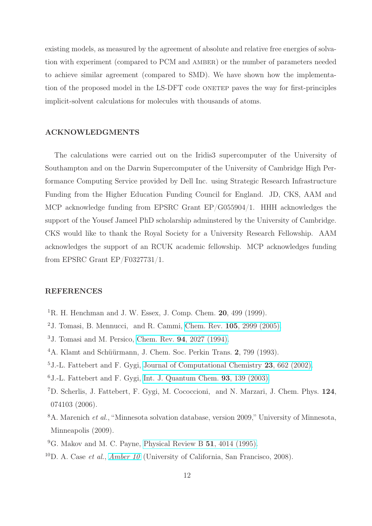existing models, as measured by the agreement of absolute and relative free energies of solvation with experiment (compared to PCM and AMBER) or the number of parameters needed to achieve similar agreement (compared to SMD). We have shown how the implementation of the proposed model in the LS-DFT code ONETEP paves the way for first-principles implicit-solvent calculations for molecules with thousands of atoms.

## ACKNOWLEDGMENTS

The calculations were carried out on the Iridis3 supercomputer of the University of Southampton and on the Darwin Supercomputer of the University of Cambridge High Performance Computing Service provided by Dell Inc. using Strategic Research Infrastructure Funding from the Higher Education Funding Council for England. JD, CKS, AAM and MCP acknowledge funding from EPSRC Grant EP/G055904/1. HHH acknowledges the support of the Yousef Jameel PhD scholarship adminstered by the University of Cambridge. CKS would like to thank the Royal Society for a University Research Fellowship. AAM acknowledges the support of an RCUK academic fellowship. MCP acknowledges funding from EPSRC Grant EP/F0327731/1.

## REFERENCES

- <span id="page-11-0"></span><sup>1</sup>R. H. Henchman and J. W. Essex, J. Comp. Chem. **20**, 499 (1999).
- <span id="page-11-1"></span><sup>2</sup>J. Tomasi, B. Mennucci, and R. Cammi, Chem. Rev. **105**[, 2999 \(2005\).](http://dx.doi.org/10.1021/cr9904009)
- <span id="page-11-2"></span><sup>3</sup>J. Tomasi and M. Persico, Chem. Rev. 94[, 2027 \(1994\).](http://dx.doi.org/10.1021/cr00031a013)
- <span id="page-11-3"></span><sup>4</sup>A. Klamt and Schüürmann, J. Chem. Soc. Perkin Trans. 2, 799 (1993).
- <span id="page-11-4"></span><sup>5</sup>J.-L. Fattebert and F. Gygi, [Journal of Computational Chemistry](http://dx.doi.org/10.1002/jcc.10069) 23, 662 (2002).
- <span id="page-11-5"></span> $6$ J.-L. Fattebert and F. Gygi, [Int. J. Quantum Chem.](http://dx.doi.org/10.1002/qua.10548) **93**, 139 (2003).
- <span id="page-11-6"></span><sup>7</sup>D. Scherlis, J. Fattebert, F. Gygi, M. Cococcioni, and N. Marzari, J. Chem. Phys. 124, 074103 (2006).
- <span id="page-11-7"></span><sup>8</sup>A. Marenich et al., "Minnesota solvation database, version 2009," University of Minnesota, Minneapolis (2009).
- <span id="page-11-8"></span> $^{9}$ G. Makov and M. C. Payne, [Physical Review B](http://dx.doi.org/10.1103/PhysRevB.51.4014) 51, 4014 (1995).
- <span id="page-11-9"></span><sup>10</sup>D. A. Case *et al., [Amber 10](http://amber.scripps.edu/#Amber10)* (University of California, San Francisco, 2008).